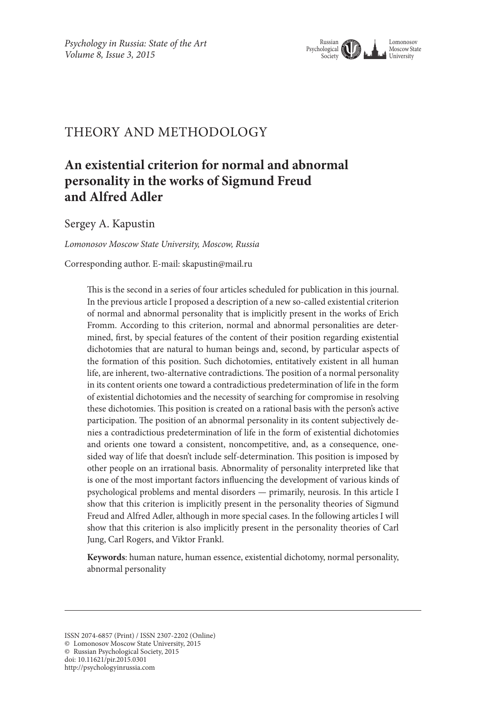

# Theory and methodology

# **An existential criterion for normal and abnormal personality in the works of Sigmund Freud and Alfred Adler**

Sergey A. Kapustin

*Lomonosov Moscow State University, Moscow, Russia*

Corresponding author. E-mail: skapustin@mail.ru

This is the second in a series of four articles scheduled for publication in this journal. In the previous article I proposed a description of a new so-called existential criterion of normal and abnormal personality that is implicitly present in the works of Erich Fromm. According to this criterion, normal and abnormal personalities are determined, first, by special features of the content of their position regarding existential dichotomies that are natural to human beings and, second, by particular aspects of the formation of this position. Such dichotomies, entitatively existent in all human life, are inherent, two-alternative contradictions. The position of a normal personality in its content orients one toward a contradictious predetermination of life in the form of existential dichotomies and the necessity of searching for compromise in resolving these dichotomies. This position is created on a rational basis with the person's active participation. The position of an abnormal personality in its content subjectively denies a contradictious predetermination of life in the form of existential dichotomies and orients one toward a consistent, noncompetitive, and, as a consequence, onesided way of life that doesn't include self-determination. This position is imposed by other people on an irrational basis. Abnormality of personality interpreted like that is one of the most important factors influencing the development of various kinds of psychological problems and mental disorders — primarily, neurosis. In this article I show that this criterion is implicitly present in the personality theories of Sigmund Freud and Alfred Adler, although in more special cases. In the following articles I will show that this criterion is also implicitly present in the personality theories of Carl Jung, Carl Rogers, and Viktor Frankl.

**Keywords**: human nature, human essence, existential dichotomy, normal personality, abnormal personality

© Russian Psychological Society, 2015

doi: 10.11621/pir.2015.0301

ISSN 2074-6857 (Print) / ISSN 2307-2202 (Online)

<sup>©</sup> Lomonosov Moscow State University, 2015

http://psychologyinrussia.com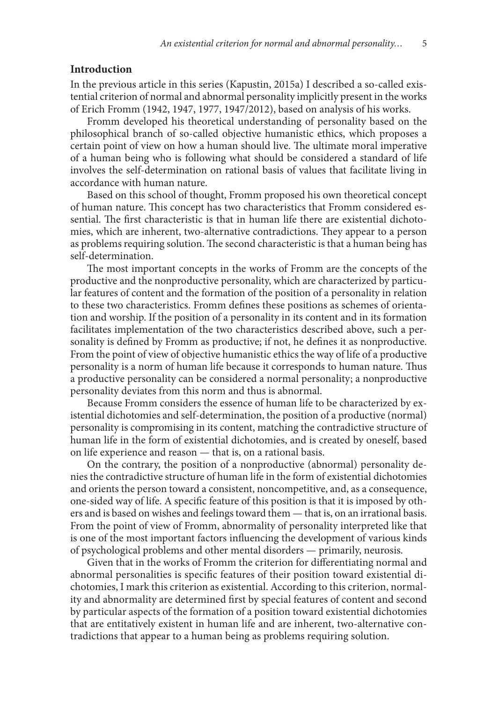#### **Introduction**

In the previous article in this series (Kapustin, 2015a) I described a so-called existential criterion of normal and abnormal personality implicitly present in the works of Erich Fromm (1942, 1947, 1977, 1947/2012), based on analysis of his works.

Fromm developed his theoretical understanding of personality based on the philosophical branch of so-called objective humanistic ethics, which proposes a certain point of view on how a human should live. The ultimate moral imperative of a human being who is following what should be considered a standard of life involves the self-determination on rational basis of values that facilitate living in accordance with human nature.

Based on this school of thought, Fromm proposed his own theoretical concept of human nature. This concept has two characteristics that Fromm considered essential. The first characteristic is that in human life there are existential dichotomies, which are inherent, two-alternative contradictions. They appear to a person as problems requiring solution. The second characteristic is that a human being has self-determination.

The most important concepts in the works of Fromm are the concepts of the productive and the nonproductive personality, which are characterized by particular features of content and the formation of the position of a personality in relation to these two characteristics. Fromm defines these positions as schemes of orientation and worship. If the position of a personality in its content and in its formation facilitates implementation of the two characteristics described above, such a personality is defined by Fromm as productive; if not, he defines it as nonproductive. From the point of view of objective humanistic ethics the way of life of a productive personality is a norm of human life because it corresponds to human nature. Thus a productive personality can be considered a normal personality; a nonproductive personality deviates from this norm and thus is abnormal.

Because Fromm considers the essence of human life to be characterized by existential dichotomies and self-determination, the position of a productive (normal) personality is compromising in its content, matching the contradictive structure of human life in the form of existential dichotomies, and is created by oneself, based on life experience and reason — that is, on a rational basis.

On the contrary, the position of a nonproductive (abnormal) personality denies the contradictive structure of human life in the form of existential dichotomies and orients the person toward a consistent, noncompetitive, and, as a consequence, one-sided way of life. A specific feature of this position is that it is imposed by others and is based on wishes and feelings toward them — that is, on an irrational basis. From the point of view of Fromm, abnormality of personality interpreted like that is one of the most important factors influencing the development of various kinds of psychological problems and other mental disorders — primarily, neurosis.

Given that in the works of Fromm the criterion for differentiating normal and abnormal personalities is specific features of their position toward existential dichotomies, I mark this criterion as existential. According to this criterion, normality and abnormality are determined first by special features of content and second by particular aspects of the formation of a position toward existential dichotomies that are entitatively existent in human life and are inherent, two-alternative contradictions that appear to a human being as problems requiring solution.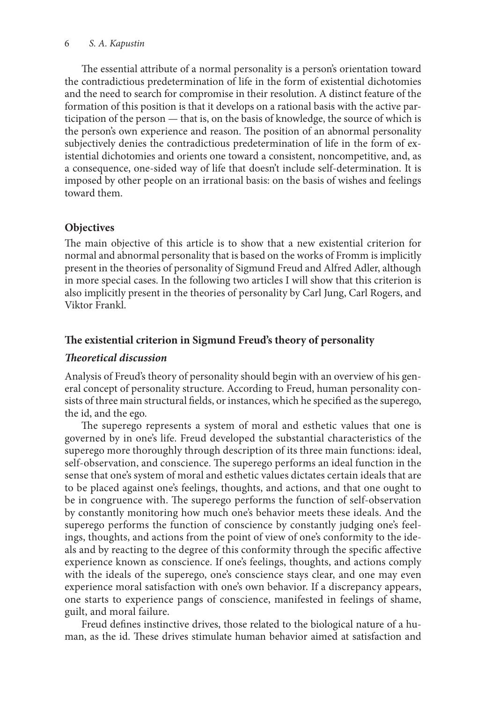The essential attribute of a normal personality is a person's orientation toward the contradictious predetermination of life in the form of existential dichotomies and the need to search for compromise in their resolution. A distinct feature of the formation of this position is that it develops on a rational basis with the active participation of the person — that is, on the basis of knowledge, the source of which is the person's own experience and reason. The position of an abnormal personality subjectively denies the contradictious predetermination of life in the form of existential dichotomies and orients one toward a consistent, noncompetitive, and, as a consequence, one-sided way of life that doesn't include self-determination. It is imposed by other people on an irrational basis: on the basis of wishes and feelings toward them.

# **Objectives**

The main objective of this article is to show that a new existential criterion for normal and abnormal personality that is based on the works of Fromm is implicitly present in the theories of personality of Sigmund Freud and Alfred Adler, although in more special cases. In the following two articles I will show that this criterion is also implicitly present in the theories of personality by Carl Jung, Carl Rogers, and Viktor Frankl.

# **The existential criterion in Sigmund Freud's theory of personality**

## *Theoretical discussion*

Analysis of Freud's theory of personality should begin with an overview of his general concept of personality structure. According to Freud, human personality consists of three main structural fields, or instances, which he specified as the superego, the id, and the ego.

The superego represents a system of moral and esthetic values that one is governed by in one's life. Freud developed the substantial characteristics of the superego more thoroughly through description of its three main functions: ideal, self-observation, and conscience. The superego performs an ideal function in the sense that one's system of moral and esthetic values dictates certain ideals that are to be placed against one's feelings, thoughts, and actions, and that one ought to be in congruence with. The superego performs the function of self-observation by constantly monitoring how much one's behavior meets these ideals. And the superego performs the function of conscience by constantly judging one's feelings, thoughts, and actions from the point of view of one's conformity to the ideals and by reacting to the degree of this conformity through the specific affective experience known as conscience. If one's feelings, thoughts, and actions comply with the ideals of the superego, one's conscience stays clear, and one may even experience moral satisfaction with one's own behavior. If a discrepancy appears, one starts to experience pangs of conscience, manifested in feelings of shame, guilt, and moral failure.

Freud defines instinctive drives, those related to the biological nature of a human, as the id. These drives stimulate human behavior aimed at satisfaction and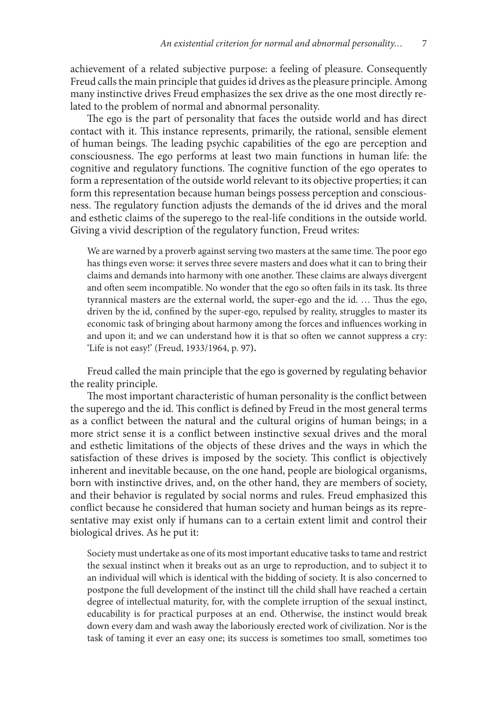achievement of a related subjective purpose: a feeling of pleasure. Consequently Freud calls the main principle that guides id drives as the pleasure principle. Among many instinctive drives Freud emphasizes the sex drive as the one most directly related to the problem of normal and abnormal personality.

The ego is the part of personality that faces the outside world and has direct contact with it. This instance represents, primarily, the rational, sensible element of human beings. The leading psychic capabilities of the ego are perception and consciousness. The ego performs at least two main functions in human life: the cognitive and regulatory functions. The cognitive function of the ego operates to form a representation of the outside world relevant to its objective properties; it can form this representation because human beings possess perception and consciousness. The regulatory function adjusts the demands of the id drives and the moral and esthetic claims of the superego to the real-life conditions in the outside world. Giving a vivid description of the regulatory function, Freud writes:

We are warned by a proverb against serving two masters at the same time. The poor ego has things even worse: it serves three severe masters and does what it can to bring their claims and demands into harmony with one another. These claims are always divergent and often seem incompatible. No wonder that the ego so often fails in its task. Its three tyrannical masters are the external world, the super-ego and the id. … Thus the ego, driven by the id, confined by the super-ego, repulsed by reality, struggles to master its economic task of bringing about harmony among the forces and influences working in and upon it; and we can understand how it is that so often we cannot suppress a cry: 'Life is not easy!' (Freud, 1933/1964, p. 97**).**

Freud called the main principle that the ego is governed by regulating behavior the reality principle.

The most important characteristic of human personality is the conflict between the superego and the id. This conflict is defined by Freud in the most general terms as a conflict between the natural and the cultural origins of human beings; in a more strict sense it is a conflict between instinctive sexual drives and the moral and esthetic limitations of the objects of these drives and the ways in which the satisfaction of these drives is imposed by the society. This conflict is objectively inherent and inevitable because, on the one hand, people are biological organisms, born with instinctive drives, and, on the other hand, they are members of society, and their behavior is regulated by social norms and rules. Freud emphasized this conflict because he considered that human society and human beings as its representative may exist only if humans can to a certain extent limit and control their biological drives. As he put it:

Society must undertake as one of its most important educative tasks to tame and restrict the sexual instinct when it breaks out as an urge to reproduction, and to subject it to an individual will which is identical with the bidding of society. It is also concerned to postpone the full development of the instinct till the child shall have reached a certain degree of intellectual maturity, for, with the complete irruption of the sexual instinct, educability is for practical purposes at an end. Otherwise, the instinct would break down every dam and wash away the laboriously erected work of civilization. Nor is the task of taming it ever an easy one; its success is sometimes too small, sometimes too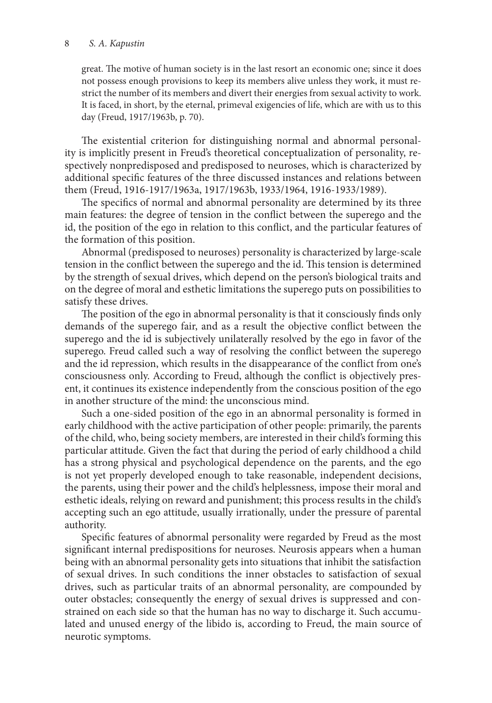#### 8 *S. A. Kapustin*

great. The motive of human society is in the last resort an economic one; since it does not possess enough provisions to keep its members alive unless they work, it must restrict the number of its members and divert their energies from sexual activity to work. It is faced, in short, by the eternal, primeval exigencies of life, which are with us to this day (Freud, 1917/1963b, p. 70).

The existential criterion for distinguishing normal and abnormal personality is implicitly present in Freud's theoretical conceptualization of personality, respectively nonpredisposed and predisposed to neuroses, which is characterized by additional specific features of the three discussed instances and relations between them (Freud, 1916-1917/1963a, 1917/1963b, 1933/1964, 1916-1933/1989).

The specifics of normal and abnormal personality are determined by its three main features: the degree of tension in the conflict between the superego and the id, the position of the ego in relation to this conflict, and the particular features of the formation of this position.

Abnormal (predisposed to neuroses) personality is characterized by large-scale tension in the conflict between the superego and the id. This tension is determined by the strength of sexual drives, which depend on the person's biological traits and on the degree of moral and esthetic limitations the superego puts on possibilities to satisfy these drives.

The position of the ego in abnormal personality is that it consciously finds only demands of the superego fair, and as a result the objective conflict between the superego and the id is subjectively unilaterally resolved by the ego in favor of the superego. Freud called such a way of resolving the conflict between the superego and the id repression, which results in the disappearance of the conflict from one's consciousness only. According to Freud, although the conflict is objectively present, it continues its existence independently from the conscious position of the ego in another structure of the mind: the unconscious mind.

Such a one-sided position of the ego in an abnormal personality is formed in early childhood with the active participation of other people: primarily, the parents of the child, who, being society members, are interested in their child's forming this particular attitude. Given the fact that during the period of early childhood a child has a strong physical and psychological dependence on the parents, and the ego is not yet properly developed enough to take reasonable, independent decisions, the parents, using their power and the child's helplessness, impose their moral and esthetic ideals, relying on reward and punishment; this process results in the child's accepting such an ego attitude, usually irrationally, under the pressure of parental authority.

Specific features of abnormal personality were regarded by Freud as the most significant internal predispositions for neuroses. Neurosis appears when a human being with an abnormal personality gets into situations that inhibit the satisfaction of sexual drives. In such conditions the inner obstacles to satisfaction of sexual drives, such as particular traits of an abnormal personality, are compounded by outer obstacles; consequently the energy of sexual drives is suppressed and constrained on each side so that the human has no way to discharge it. Such accumulated and unused energy of the libido is, according to Freud, the main source of neurotic symptoms.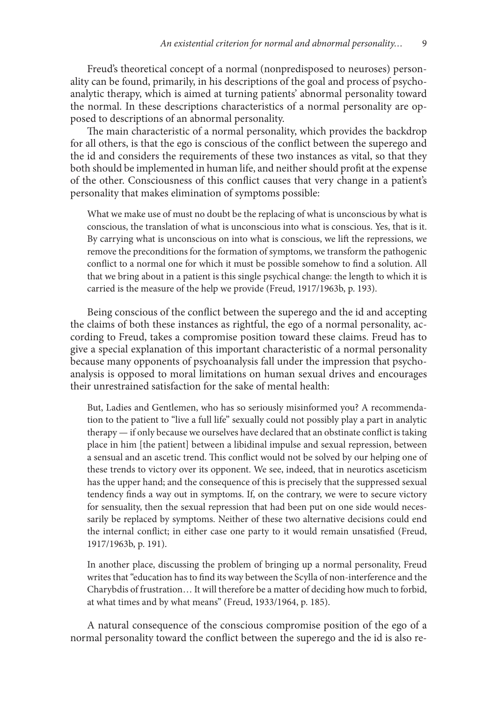Freud's theoretical concept of a normal (nonpredisposed to neuroses) personality can be found, primarily, in his descriptions of the goal and process of psychoanalytic therapy, which is aimed at turning patients' abnormal personality toward the normal. In these descriptions characteristics of a normal personality are opposed to descriptions of an abnormal personality.

The main characteristic of a normal personality, which provides the backdrop for all others, is that the ego is conscious of the conflict between the superego and the id and considers the requirements of these two instances as vital, so that they both should be implemented in human life, and neither should profit at the expense of the other. Consciousness of this conflict causes that very change in a patient's personality that makes elimination of symptoms possible:

What we make use of must no doubt be the replacing of what is unconscious by what is conscious, the translation of what is unconscious into what is conscious. Yes, that is it. By carrying what is unconscious on into what is conscious, we lift the repressions, we remove the preconditions for the formation of symptoms, we transform the pathogenic conflict to a normal one for which it must be possible somehow to find a solution. All that we bring about in a patient is this single psychical change: the length to which it is carried is the measure of the help we provide (Freud, 1917/1963b, p. 193).

Being conscious of the conflict between the superego and the id and accepting the claims of both these instances as rightful, the ego of a normal personality, according to Freud, takes a compromise position toward these claims. Freud has to give a special explanation of this important characteristic of a normal personality because many opponents of psychoanalysis fall under the impression that psychoanalysis is opposed to moral limitations on human sexual drives and encourages their unrestrained satisfaction for the sake of mental health:

But, Ladies and Gentlemen, who has so seriously misinformed you? A recommendation to the patient to "live a full life" sexually could not possibly play a part in analytic therapy — if only because we ourselves have declared that an obstinate conflict is taking place in him [the patient] between a libidinal impulse and sexual repression, between a sensual and an ascetic trend. This conflict would not be solved by our helping one of these trends to victory over its opponent. We see, indeed, that in neurotics asceticism has the upper hand; and the consequence of this is precisely that the suppressed sexual tendency finds a way out in symptoms. If, on the contrary, we were to secure victory for sensuality, then the sexual repression that had been put on one side would necessarily be replaced by symptoms. Neither of these two alternative decisions could end the internal conflict; in either case one party to it would remain unsatisfied (Freud, 1917/1963b, p. 191).

In another place, discussing the problem of bringing up a normal personality, Freud writes that "education has to find its way between the Scylla of non-interference and the Charybdis of frustration… It will therefore be a matter of deciding how much to forbid, at what times and by what means" (Freud, 1933/1964, p. 185).

A natural consequence of the conscious compromise position of the ego of a normal personality toward the conflict between the superego and the id is also re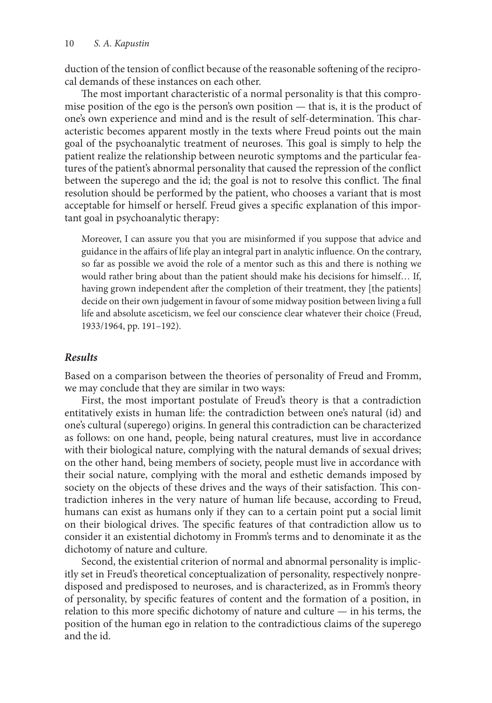duction of the tension of conflict because of the reasonable softening of the reciprocal demands of these instances on each other.

The most important characteristic of a normal personality is that this compromise position of the ego is the person's own position — that is, it is the product of one's own experience and mind and is the result of self-determination. This characteristic becomes apparent mostly in the texts where Freud points out the main goal of the psychoanalytic treatment of neuroses. This goal is simply to help the patient realize the relationship between neurotic symptoms and the particular features of the patient's abnormal personality that caused the repression of the conflict between the superego and the id; the goal is not to resolve this conflict. The final resolution should be performed by the patient, who chooses a variant that is most acceptable for himself or herself. Freud gives a specific explanation of this important goal in psychoanalytic therapy:

Moreover, I can assure you that you are misinformed if you suppose that advice and guidance in the affairs of life play an integral part in analytic influence. On the contrary, so far as possible we avoid the role of a mentor such as this and there is nothing we would rather bring about than the patient should make his decisions for himself… If, having grown independent after the completion of their treatment, they [the patients] decide on their own judgement in favour of some midway position between living a full life and absolute asceticism, we feel our conscience clear whatever their choice (Freud, 1933/1964, pp. 191–192).

### *Results*

Based on a comparison between the theories of personality of Freud and Fromm, we may conclude that they are similar in two ways:

First, the most important postulate of Freud's theory is that a contradiction entitatively exists in human life: the contradiction between one's natural (id) and one's cultural (superego) origins. In general this contradiction can be characterized as follows: on one hand, people, being natural creatures, must live in accordance with their biological nature, complying with the natural demands of sexual drives; on the other hand, being members of society, people must live in accordance with their social nature, complying with the moral and esthetic demands imposed by society on the objects of these drives and the ways of their satisfaction. This contradiction inheres in the very nature of human life because, according to Freud, humans can exist as humans only if they can to a certain point put a social limit on their biological drives. The specific features of that contradiction allow us to consider it an existential dichotomy in Fromm's terms and to denominate it as the dichotomy of nature and culture.

Second, the existential criterion of normal and abnormal personality is implicitly set in Freud's theoretical conceptualization of personality, respectively nonpredisposed and predisposed to neuroses, and is characterized, as in Fromm's theory of personality, by specific features of content and the formation of a position, in relation to this more specific dichotomy of nature and culture — in his terms, the position of the human ego in relation to the contradictious claims of the superego and the id.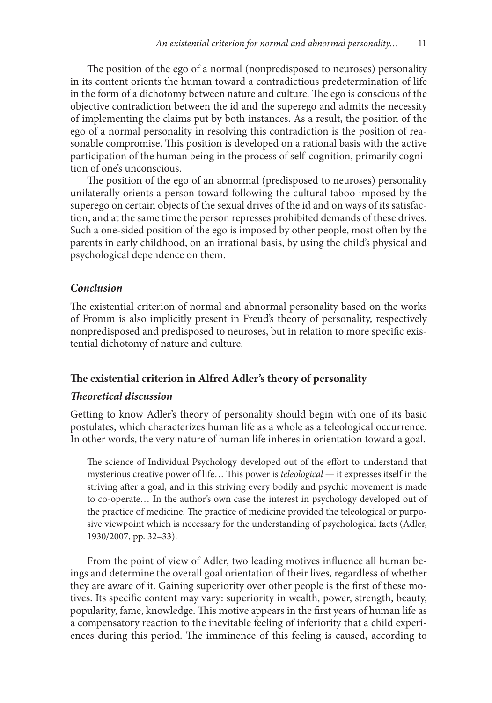The position of the ego of a normal (nonpredisposed to neuroses) personality in its content orients the human toward a contradictious predetermination of life in the form of a dichotomy between nature and culture. The ego is conscious of the objective contradiction between the id and the superego and admits the necessity of implementing the claims put by both instances. As a result, the position of the ego of a normal personality in resolving this contradiction is the position of reasonable compromise. This position is developed on a rational basis with the active participation of the human being in the process of self-cognition, primarily cognition of one's unconscious.

The position of the ego of an abnormal (predisposed to neuroses) personality unilaterally orients a person toward following the cultural taboo imposed by the superego on certain objects of the sexual drives of the id and on ways of its satisfaction, and at the same time the person represses prohibited demands of these drives. Such a one-sided position of the ego is imposed by other people, most often by the parents in early childhood, on an irrational basis, by using the child's physical and psychological dependence on them.

#### *Conclusion*

The existential criterion of normal and abnormal personality based on the works of Fromm is also implicitly present in Freud's theory of personality, respectively nonpredisposed and predisposed to neuroses, but in relation to more specific existential dichotomy of nature and culture.

#### **The existential criterion in Alfred Adler's theory of personality**

#### *Theoretical discussion*

Getting to know Adler's theory of personality should begin with one of its basic postulates, which characterizes human life as a whole as a teleological occurrence. In other words, the very nature of human life inheres in orientation toward a goal.

The science of Individual Psychology developed out of the effort to understand that mysterious creative power of life… This power is *teleological* — it expresses itself in the striving after a goal, and in this striving every bodily and psychic movement is made to co-operate… In the author's own case the interest in psychology developed out of the practice of medicine. The practice of medicine provided the teleological or purposive viewpoint which is necessary for the understanding of psychological facts (Adler, 1930/2007, pp. 32–33).

From the point of view of Adler, two leading motives influence all human beings and determine the overall goal orientation of their lives, regardless of whether they are aware of it. Gaining superiority over other people is the first of these motives. Its specific content may vary: superiority in wealth, power, strength, beauty, popularity, fame, knowledge. This motive appears in the first years of human life as a compensatory reaction to the inevitable feeling of inferiority that a child experiences during this period. The imminence of this feeling is caused, according to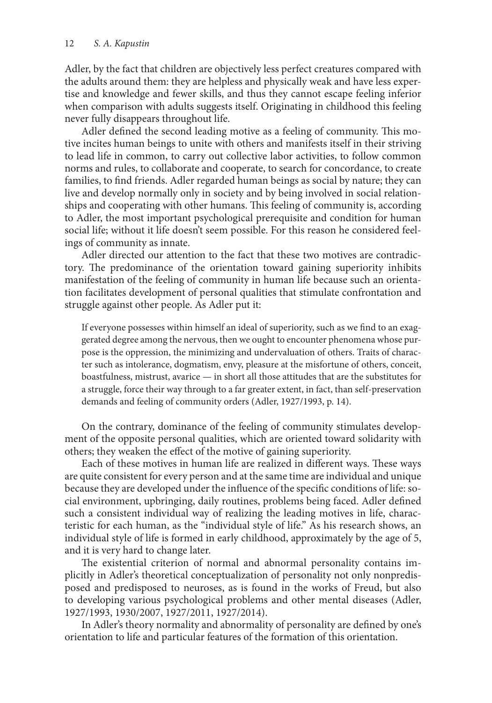Adler, by the fact that children are objectively less perfect creatures compared with the adults around them: they are helpless and physically weak and have less expertise and knowledge and fewer skills, and thus they cannot escape feeling inferior when comparison with adults suggests itself. Originating in childhood this feeling never fully disappears throughout life.

Adler defined the second leading motive as a feeling of community. This motive incites human beings to unite with others and manifests itself in their striving to lead life in common, to carry out collective labor activities, to follow common norms and rules, to collaborate and cooperate, to search for concordance, to create families, to find friends. Adler regarded human beings as social by nature; they can live and develop normally only in society and by being involved in social relationships and cooperating with other humans. This feeling of community is, according to Adler, the most important psychological prerequisite and condition for human social life; without it life doesn't seem possible. For this reason he considered feelings of community as innate.

Adler directed our attention to the fact that these two motives are contradictory. The predominance of the orientation toward gaining superiority inhibits manifestation of the feeling of community in human life because such an orientation facilitates development of personal qualities that stimulate confrontation and struggle against other people. As Adler put it:

If everyone possesses within himself an ideal of superiority, such as we find to an exaggerated degree among the nervous, then we ought to encounter phenomena whose purpose is the oppression, the minimizing and undervaluation of others. Traits of character such as intolerance, dogmatism, envy, pleasure at the misfortune of others, conceit, boastfulness, mistrust, avarice — in short all those attitudes that are the substitutes for a struggle, force their way through to a far greater extent, in fact, than self-preservation demands and feeling of community orders (Adler, 1927/1993, p. 14).

On the contrary, dominance of the feeling of community stimulates development of the opposite personal qualities, which are oriented toward solidarity with others; they weaken the effect of the motive of gaining superiority.

Each of these motives in human life are realized in different ways. These ways are quite consistent for every person and at the same time are individual and unique because they are developed under the influence of the specific conditions of life: social environment, upbringing, daily routines, problems being faced. Adler defined such a consistent individual way of realizing the leading motives in life, characteristic for each human, as the "individual style of life." As his research shows, an individual style of life is formed in early childhood, approximately by the age of 5, and it is very hard to change later.

The existential criterion of normal and abnormal personality contains implicitly in Adler's theoretical conceptualization of personality not only nonpredisposed and predisposed to neuroses, as is found in the works of Freud, but also to developing various psychological problems and other mental diseases (Adler, 1927/1993, 1930/2007, 1927/2011, 1927/2014).

In Adler's theory normality and abnormality of personality are defined by one's orientation to life and particular features of the formation of this orientation.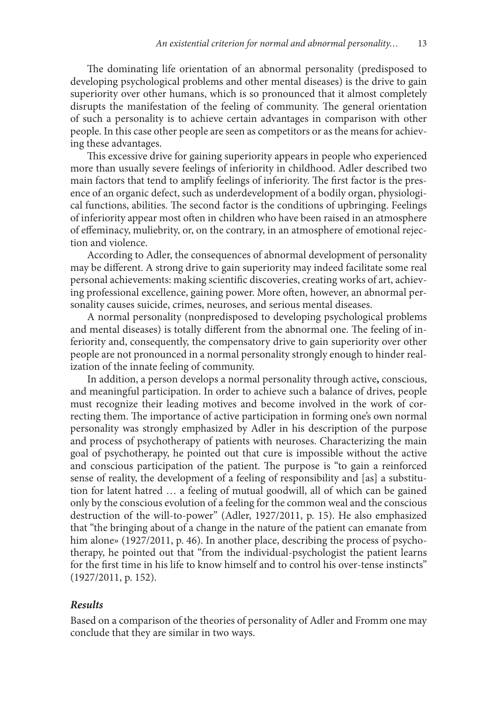The dominating life orientation of an abnormal personality (predisposed to developing psychological problems and other mental diseases) is the drive to gain superiority over other humans, which is so pronounced that it almost completely disrupts the manifestation of the feeling of community. The general orientation of such a personality is to achieve certain advantages in comparison with other people. In this case other people are seen as competitors or as the means for achieving these advantages.

This excessive drive for gaining superiority appears in people who experienced more than usually severe feelings of inferiority in childhood. Adler described two main factors that tend to amplify feelings of inferiority. The first factor is the presence of an organic defect, such as underdevelopment of a bodily organ, physiological functions, abilities. The second factor is the conditions of upbringing. Feelings of inferiority appear most often in children who have been raised in an atmosphere of effeminacy, muliebrity, or, on the contrary, in an atmosphere of emotional rejection and violence.

According to Adler, the consequences of abnormal development of personality may be different. A strong drive to gain superiority may indeed facilitate some real personal achievements: making scientific discoveries, creating works of art, achieving professional excellence, gaining power. More often, however, an abnormal personality causes suicide, crimes, neuroses, and serious mental diseases.

A normal personality (nonpredisposed to developing psychological problems and mental diseases) is totally different from the abnormal one. The feeling of inferiority and, consequently, the compensatory drive to gain superiority over other people are not pronounced in a normal personality strongly enough to hinder realization of the innate feeling of community.

In addition, a person develops a normal personality through active**,** conscious, and meaningful participation. In order to achieve such a balance of drives, people must recognize their leading motives and become involved in the work of correcting them. The importance of active participation in forming one's own normal personality was strongly emphasized by Adler in his description of the purpose and process of psychotherapy of patients with neuroses. Characterizing the main goal of psychotherapy, he pointed out that cure is impossible without the active and conscious participation of the patient. The purpose is "to gain a reinforced sense of reality, the development of a feeling of responsibility and [as] a substitution for latent hatred … a feeling of mutual goodwill, all of which can be gained only by the conscious evolution of a feeling for the common weal and the conscious destruction of the will-to-power" (Adler, 1927/2011, p. 15). He also emphasized that "the bringing about of a change in the nature of the patient can emanate from him alone» (1927/2011, p. 46). In another place, describing the process of psychotherapy, he pointed out that "from the individual-psychologist the patient learns for the first time in his life to know himself and to control his over-tense instincts" (1927/2011, p. 152).

### *Results*

Based on a comparison of the theories of personality of Adler and Fromm one may conclude that they are similar in two ways.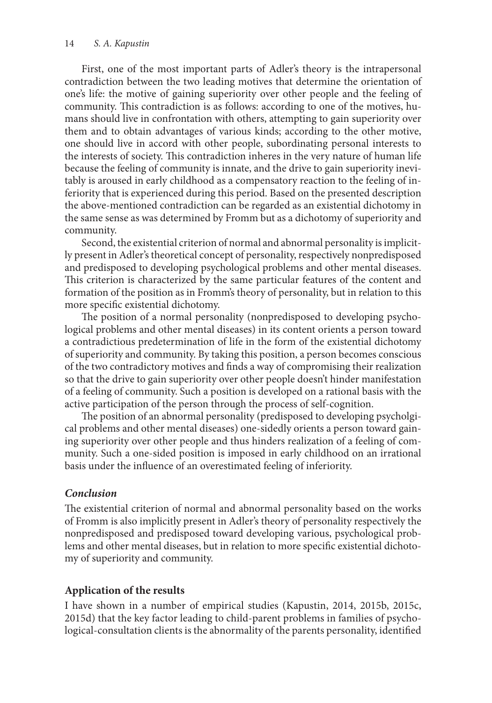First, one of the most important parts of Adler's theory is the intrapersonal contradiction between the two leading motives that determine the orientation of one's life: the motive of gaining superiority over other people and the feeling of community. This contradiction is as follows: according to one of the motives, humans should live in confrontation with others, attempting to gain superiority over them and to obtain advantages of various kinds; according to the other motive, one should live in accord with other people, subordinating personal interests to the interests of society. This contradiction inheres in the very nature of human life because the feeling of community is innate, and the drive to gain superiority inevitably is aroused in early childhood as a compensatory reaction to the feeling of inferiority that is experienced during this period. Based on the presented description the above-mentioned contradiction can be regarded as an existential dichotomy in the same sense as was determined by Fromm but as a dichotomy of superiority and community.

Second, the existential criterion of normal and abnormal personality is implicitly present in Adler's theoretical concept of personality, respectively nonpredisposed and predisposed to developing psychological problems and other mental diseases. This criterion is characterized by the same particular features of the content and formation of the position as in Fromm's theory of personality, but in relation to this more specific existential dichotomy.

The position of a normal personality (nonpredisposed to developing psychological problems and other mental diseases) in its content orients a person toward a contradictious predetermination of life in the form of the existential dichotomy of superiority and community. By taking this position, a person becomes conscious of the two contradictory motives and finds a way of compromising their realization so that the drive to gain superiority over other people doesn't hinder manifestation of a feeling of community. Such a position is developed on a rational basis with the active participation of the person through the process of self-cognition.

The position of an abnormal personality (predisposed to developing psycholgical problems and other mental diseases) one-sidedly orients a person toward gaining superiority over other people and thus hinders realization of a feeling of community. Such a one-sided position is imposed in early childhood on an irrational basis under the influence of an overestimated feeling of inferiority.

### *Conclusion*

The existential criterion of normal and abnormal personality based on the works of Fromm is also implicitly present in Adler's theory of personality respectively the nonpredisposed and predisposed toward developing various, psychological problems and other mental diseases, but in relation to more specific existential dichotomy of superiority and community.

## **Application of the results**

I have shown in a number of empirical studies (Kapustin, 2014, 2015b, 2015c, 2015d) that the key factor leading to child-parent problems in families of psychological-consultation clients is the abnormality of the parents personality, identified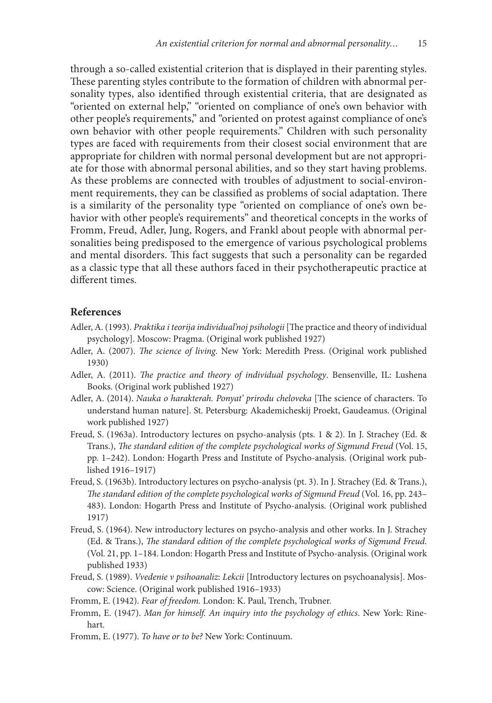through a so-called existential criterion that is displayed in their parenting styles. These parenting styles contribute to the formation of children with abnormal personality types, also identified through existential criteria, that are designated as "oriented on external help," "oriented on compliance of one's own behavior with other people's requirements," and "oriented on protest against compliance of one's own behavior with other people requirements." Children with such personality types are faced with requirements from their closest social environment that are appropriate for children with normal personal development but are not appropriate for those with abnormal personal abilities, and so they start having problems. As these problems are connected with troubles of adjustment to social-environment requirements, they can be classified as problems of social adaptation. There is a similarity of the personality type "oriented on compliance of one's own behavior with other people's requirements" and theoretical concepts in the works of Fromm, Freud, Adler, Jung, Rogers, and Frankl about people with abnormal personalities being predisposed to the emergence of various psychological problems and mental disorders. This fact suggests that such a personality can be regarded as a classic type that all these authors faced in their psychotherapeutic practice at different times.

#### **References**

- Adler, A. (1993). *Praktika i teorija individual'noj psihologii* [The practice and theory of individual psychology]. Moscow: Pragma. (Original work published 1927)
- Adler, A. (2007). *The science of living*. New York: Meredith Press. (Original work published 1930)
- Adler, A. (2011). *The practice and theory of individual psychology*. Bensenville, IL: Lushena Books. (Original work published 1927)
- Adler, A. (2014). *Nauka o harakterah. Ponyat' prirodu cheloveka* [The science of characters. To understand human nature]. St. Petersburg: Akademicheskij Proekt, Gaudeamus. (Original work published 1927)
- Freud, S. (1963a). Introductory lectures on psycho-analysis (pts. 1 & 2). In J. Strachey (Ed. & Trans.), *The standard edition of the complete psychological works of Sigmund Freud* (Vol. 15, pp. 1–242). London: Hogarth Press and Institute of Psycho-analysis. (Original work published 1916–1917)
- Freud, S. (1963b). Introductory lectures on psycho-analysis (pt. 3). In J. Strachey (Ed. & Trans.), *The standard edition of the complete psychological works of Sigmund Freud* (Vol. 16, pp. 243– 483). London: Hogarth Press and Institute of Psycho-analysis. (Original work published 1917)
- Freud, S. (1964). New introductory lectures on psycho-analysis and other works. In J. Strachey (Ed. & Trans.), *The standard edition of the complete psychological works of Sigmund Freud.* (Vol. 21, pp. 1–184. London: Hogarth Press and Institute of Psycho-analysis. (Original work published 1933)
- Freud, S. (1989). *Vvedenie v psihoanaliz*: *Lekcii* [Introductory lectures on psychoanalysis]. Moscow: Science. (Original work published 1916–1933)
- Fromm, E. (1942). *Fear of freedom.* London: K. Paul, Trench, Trubner.
- Fromm, E. (1947). *Man for himself. An inquiry into the psychology of ethics*. New York: Rinehart.
- Fromm, E. (1977). *To have or to be?* New York: Continuum.